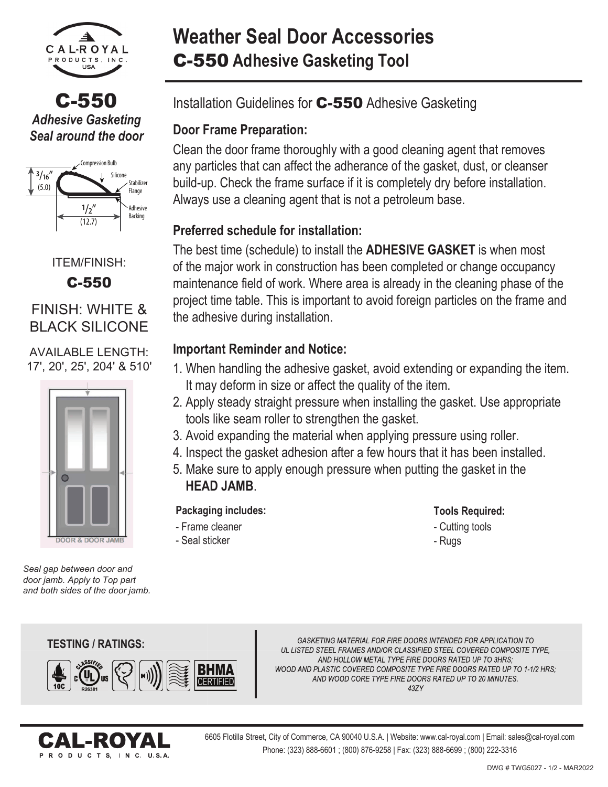

C-550 *Adhesive Gasketing Seal around the door*



ITEM/FINISH:

C-550

## FINISH: WHITE & **BLACK SILICONE**

AVAILABLE LENGTH: 17', 20', 25', 204' & 510'



*Seal gap between door and door jamb. Apply to Top part and both sides of the door jamb.*

# **Weather Seal Door Accessories** C-550 **Adhesive Gasketing Tool**

Installation Guidelines for C-550 Adhesive Gasketing

## **Door Frame Preparation:**

Clean the door frame thoroughly with a good cleaning agent that removes any particles that can affect the adherance of the gasket, dust, or cleanser build-up. Check the frame surface if it is completely dry before installation. Always use a cleaning agent that is not a petroleum base.

## **Preferred schedule for installation:**

The best time (schedule) to install the **ADHESIVE GASKET** is when most of the major work in construction has been completed or change occupancy maintenance field of work. Where area is already in the cleaning phase of the project time table. This is important to avoid foreign particles on the frame and the adhesive during installation.

### **Important Reminder and Notice:**

- 1. When handling the adhesive gasket, avoid extending or expanding the item. It may deform in size or affect the quality of the item.
- 2. Apply steady straight pressure when installing the gasket. Use appropriate tools like seam roller to strengthen the gasket.
- 3. Avoid expanding the material when applying pressure using roller.
- 4. Inspect the gasket adhesion after a few hours that it has been installed.
- 5. Make sure to apply enough pressure when putting the gasket in the **HEAD JAMB**.

#### **Packaging includes:**

- Frame cleaner - Seal sticker

- **Tools Required:**
- Cutting tools
- Rugs

**TESTING / RATINGS: TESTING**



GASKETING MATERIAL FOR FIRE DOORS INTENDED FOR APPLICATION TO UL LISTED STEEL FRAMES AND/OR CLASSIFIED STEEL COVERED COMPOSITE TYPE, AND HOLLOW METAL TYPE FIRE DOORS RATED UP TO 3HRS; WOOD AND PLASTIC COVERED COMPOSITE TYPE FIRE DOORS RATED UP TO 1-1/2 HRS: AND WOOD CORE TYPE FIRE DOORS RATED UP TO 20 MINUTES. 437Y



6605 Flotilla Street, City of Commerce, CA 90040 U.S.A. | Website: www.cal-royal.com | Email: sales@cal-royal.com Phone: (323) 888-6601 ; (800) 876-9258 | Fax: (323) 888-6699 ; (800) 222-3316